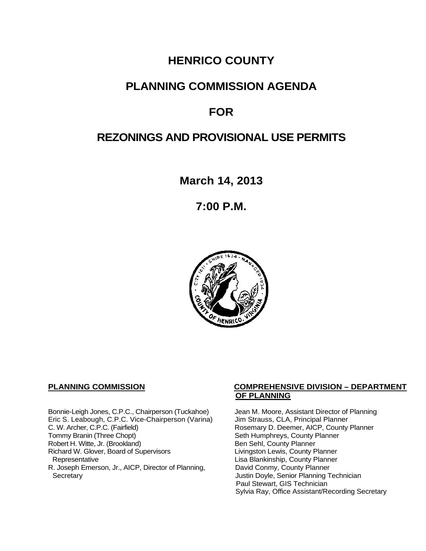## **HENRICO COUNTY**

## **PLANNING COMMISSION AGENDA**

## **FOR**

## **REZONINGS AND PROVISIONAL USE PERMITS**

**March 14, 2013**

**7:00 P.M.**



Bonnie-Leigh Jones, C.P.C., Chairperson (Tuckahoe) Jean M. Moore, Assistant Director of Planning<br>Eric S. Leabough, C.P.C. Vice-Chairperson (Varina) Jim Strauss, CLA, Principal Planner Eric S. Leabough, C.P.C. Vice-Chairperson (Varina)<br>C. W. Archer, C.P.C. (Fairfield) C. W. Archer, C.P.C. (Fairfield) Rosemary D. Deemer, AICP, County Planner<br>
Tommy Branin (Three Chopt) Seth Humphreys, County Planner Robert H. Witte, Jr. (Brookland)<br>
Richard W. Glover, Board of Supervisors<br>
Livingston Lewis, County Planner Richard W. Glover, Board of Supervisors<br>Representative R. Joseph Emerson, Jr., AICP, Director of Planning, Secretary

#### **PLANNING COMMISSION COMPREHENSIVE DIVISION – DEPARTMENT OF PLANNING**

Seth Humphreys, County Planner<br>Ben Sehl, County Planner Lisa Blankinship, County Planner<br>David Conmy, County Planner Justin Doyle, Senior Planning Technician Paul Stewart, GIS Technician Sylvia Ray, Office Assistant/Recording Secretary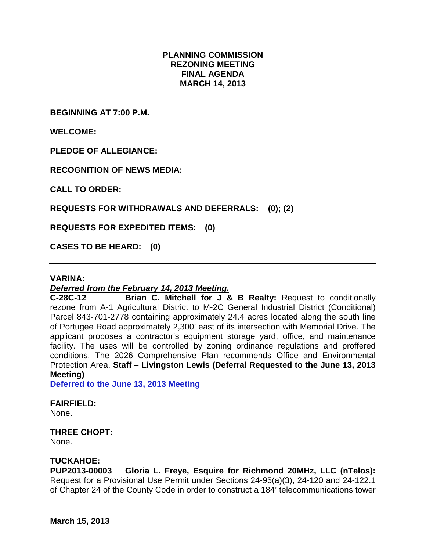#### **PLANNING COMMISSION REZONING MEETING FINAL AGENDA MARCH 14, 2013**

**BEGINNING AT 7:00 P.M.**

**WELCOME:**

**PLEDGE OF ALLEGIANCE:**

**RECOGNITION OF NEWS MEDIA:**

**CALL TO ORDER:**

**REQUESTS FOR WITHDRAWALS AND DEFERRALS: (0); (2)**

**REQUESTS FOR EXPEDITED ITEMS: (0)**

**CASES TO BE HEARD: (0)**

#### **VARINA:**

# *Deferred from the February 14, 2013 Meeting.*

**C-28C-12 Brian C. Mitchell for J & B Realty:** Request to conditionally rezone from A-1 Agricultural District to M-2C General Industrial District (Conditional) Parcel 843-701-2778 containing approximately 24.4 acres located along the south line of Portugee Road approximately 2,300' east of its intersection with Memorial Drive. The applicant proposes a contractor's equipment storage yard, office, and maintenance facility. The uses will be controlled by zoning ordinance regulations and proffered conditions. The 2026 Comprehensive Plan recommends Office and Environmental Protection Area. **Staff – Livingston Lewis (Deferral Requested to the June 13, 2013 Meeting)** 

**Deferred to the June 13, 2013 Meeting**

#### **FAIRFIELD:**

None.

#### **THREE CHOPT:**

None.

#### **TUCKAHOE:**

**PUP2013-00003 Gloria L. Freye, Esquire for Richmond 20MHz, LLC (nTelos):**  Request for a Provisional Use Permit under Sections 24-95(a)(3), 24-120 and 24-122.1 of Chapter 24 of the County Code in order to construct a 184' telecommunications tower